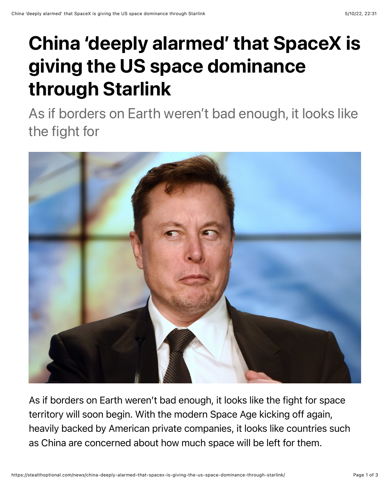## China 'deeply alarmed' that SpaceX is giving the US space dominance through Starlink

As if borders on Earth weren't bad enough, it looks like the fight for



As if borders on Earth weren't bad enough, it looks like the fight for space territory will soon begin. With the modern Space Age kicking off again, heavily backed by American private companies, it looks like countries such as China are concerned about how much space will be left for them.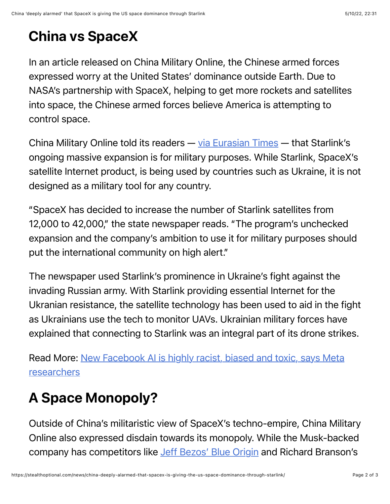## China vs SpaceX

In an article released on China Military Online, the Chinese armed forces expressed worry at the United States' dominance outside Earth. Due to NASA's partnership with SpaceX, helping to get more rockets and satellites into space, the Chinese armed forces believe America is attempting to control space.

China Military Online told its readers — [via Eurasian Times](https://eurasiantimes.com/china-deeply-alarmed-by-spacexs-starlink-capabilities-usa/?amp) — that Starlink's ongoing massive expansion is for military purposes. While Starlink, SpaceX's satellite Internet product, is being used by countries such as Ukraine, it is not designed as a military tool for any country.

"SpaceX has decided to increase the number of Starlink satellites from 12,000 to 42,000," the state newspaper reads. "The program's unchecked expansion and the company's ambition to use it for military purposes should put the international community on high alert."

The newspaper used Starlink's prominence in Ukraine's fight against the invading Russian army. With Starlink providing essential Internet for the Ukranian resistance, the satellite technology has been used to aid in the fight as Ukrainians use the tech to monitor UAVs. Ukrainian military forces have explained that connecting to Starlink was an integral part of its drone strikes.

[Read More: New Facebook AI is highly racist, biased and toxic, says Meta](https://stealthoptional.com/news/new-facebook-ai-highly-racist-biased-toxic/) researchers

## A Space Monopoly?

Outside of China's militaristic view of SpaceX's techno-empire, China Military Online also expressed disdain towards its monopoly. While the Musk-backed company has competitors like [Jeff Bezos' Blue Origin](https://stealthoptional.com/news/william-shatner-admits-scared-of-going-to-space-in-blue-origins-rocket/) and Richard Branson's